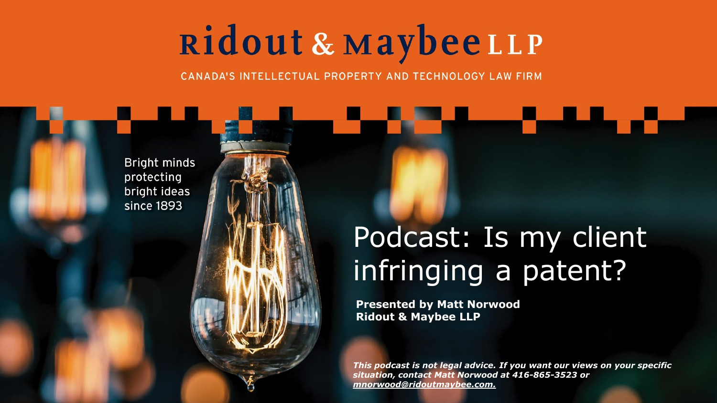CANADA'S INTELLECTUAL PROPERTY AND TECHNOLOGY LAW FIRM

Bright minds protecting bright ideas since 1893

### Podcast: Is my client infringing a patent?

**Presented by Matt Norwood Ridout & Maybee LLP**

*This podcast is not legal advice. If you want our views on your specific situation, contact Matt Norwood at 416-865-3523 or mnorwood@ridoutmaybee.com.*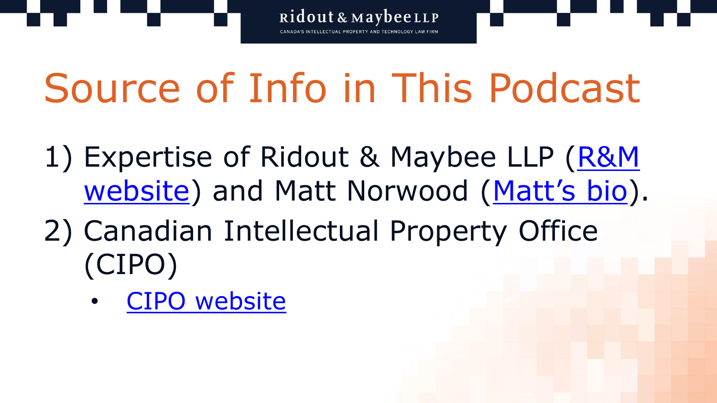

## Source of Info in This Podcast

- 1) Expertise of Ridout & Maybee LLP (R&M website) and Matt Norwood ([Matt's bio](http://www.ridoutmaybee.com/ip-professionals/norwood-matthew/)).
- 2) Canadian Intellectual Property Office (CIPO)
	- [CIPO website](https://www.ic.gc.ca/eic/site/cipointernet-internetopic.nsf/eng/home)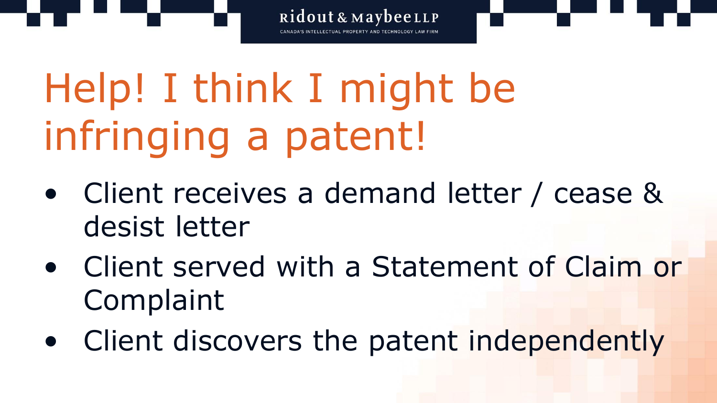Help! I think I might be infringing a patent!

• Client receives a demand letter / cease & desist letter

- Client served with a Statement of Claim or Complaint
- Client discovers the patent independently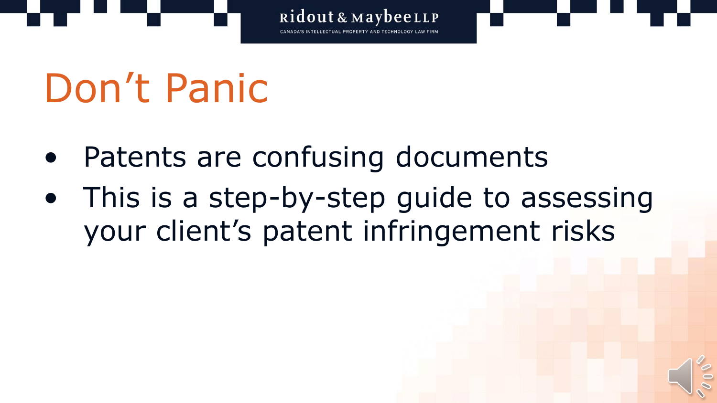

## Don't Panic

- Patents are confusing documents
- This is a step-by-step guide to assessing your client's patent infringement risks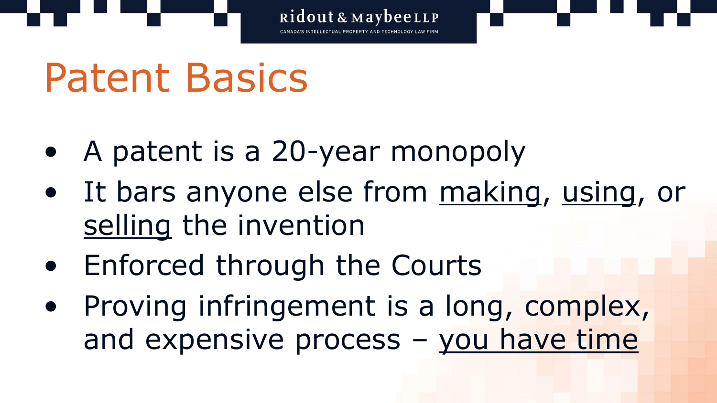## Patent Basics

- A patent is a 20-year monopoly
- It bars anyone else from making, using, or selling the invention
- Enforced through the Courts
- Proving infringement is a long, complex, and expensive process – you have time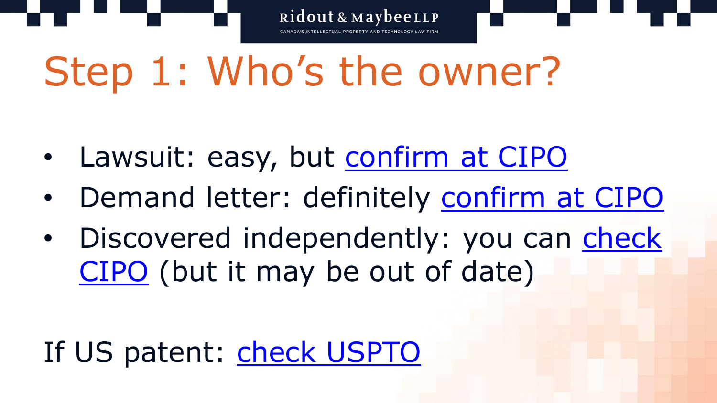## Step 1: Who's the owner?

- Lawsuit: easy, but [confirm at CIPO](http://www.ic.gc.ca/opic-cipo/cpd/eng/search/number.html)
- Demand letter: definitely [confirm at CIPO](http://www.ic.gc.ca/opic-cipo/cpd/eng/search/number.html)
- Discovered independently: you can check CIPO (but it may be out of date)

### If US patent: [check USPTO](https://portal.uspto.gov/pair/PublicPair)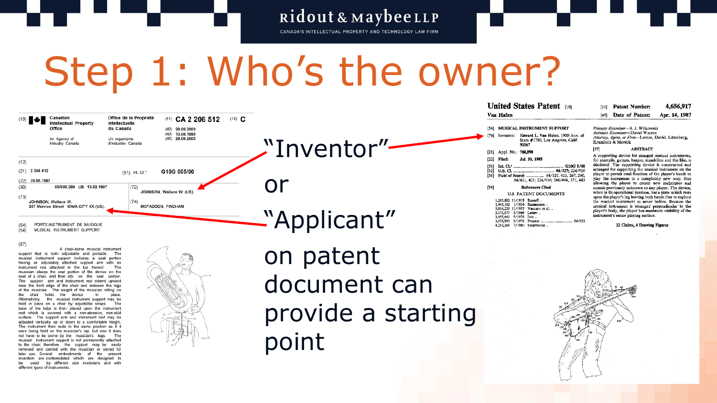CANADA'S INTELLECTUAL PROPERTY AND TECHNOLOGY LAW FIRM

## Step 1: Who's the owner?



 $(57)$ 

A chair-borne musical instrument support that is both adjustable and portable. The musical instrument support includes a seat portion having an adjustably attached support arm with an instrument rest attached to the top thereof. The musician places the seat portion of the device on the seat of a chair, and then sits on the seat portion. The support arm and instrument rest extend upward near the front edge of the chair and between the legs of the musician. The weight of the musician sitting on the chair holds the device in place. Alternatively, the musical instrument support may be held in place on a chair by adjustable straps. The base of the tuba is then placed upon the instrument rest which is covered with a non-abrasive, non-skid surface. The support arm and instrument rest may be adjusted vertically up or down to a comfortable height. The instrument then rests in the same position as if it were being held on the musician's lap, but now it does not have to be borne by the musician's legs. The musical instrument support is not permanently attached to the chair; therefore, the support may be easily removed and carried with the musician or stored for later use. Several embodiments of the present invention are contemplated which are designed to be used by different size musicians and with different types of instruments.



on patent document can provide a starting point

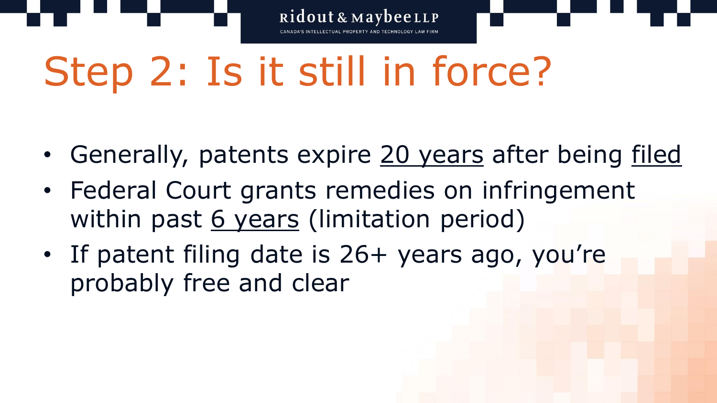Step 2: Is it still in force?

• Generally, patents expire 20 years after being filed

- Federal Court grants remedies on infringement within past 6 years (limitation period)
- If patent filing date is 26+ years ago, you're probably free and clear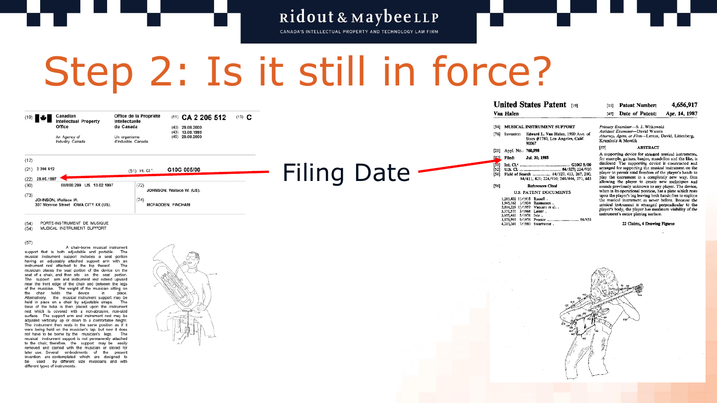CANADA'S INTELLECTUAL PROPERTY AND TECHNOLOGY LAW FIRM

## Step 2: Is it still in force?

| $(19)$ $\frac{1}{2}$ | Canadian                               | Office de la Propriété             | $(11)$ CA 2 206 512                    | $(13)$ <b>C</b> |                    | Van Halen            |                                                                                               |
|----------------------|----------------------------------------|------------------------------------|----------------------------------------|-----------------|--------------------|----------------------|-----------------------------------------------------------------------------------------------|
|                      | <b>Intellectual Property</b><br>Office | Intellectuelle<br>du Canada        | $(40)$ 29.08.2000                      |                 |                    |                      | [54] MUSICAL INSTRUMENT SUPPORT                                                               |
|                      | An Agency of<br>Industry Canada        | Un organisme<br>d'Industrie Canada | $(43)$ 13,08,1998<br>$(45)$ 29.08.2000 |                 |                    |                      | [76] Inventor: Edward L. Van Halen, 1900 Ave. of<br>Stars #1780, Los Angeles, Calif.<br>90067 |
|                      |                                        |                                    |                                        |                 |                    |                      | [21] Appl. No.: 760,598                                                                       |
| (12)                 |                                        |                                    |                                        |                 |                    | Filed:<br>[22]       | Јш. 30, 1985                                                                                  |
| $(21)$ 2 206 512     |                                        | (51) Int. Cl. <sup>4</sup> :       | G10G 005/00                            |                 | <b>Filing Date</b> | T511<br>[52]<br>[58] | G10G 5/00<br>84/327: 224/910<br>Field of Search  84/327, 453, 267, 280,                       |
| $(22)$ 29.05.1997    |                                        |                                    |                                        |                 |                    |                      | 84/411, 421; 224/910; 248/444, 371, 443                                                       |
| (30)                 | 08/800,299 US 13.02.1997               | (72)                               | JOHNSON, Wallace W. (US).              |                 |                    | [56]                 | <b>References Cited</b>                                                                       |
| (73)                 |                                        |                                    |                                        |                 |                    |                      | <b>U.S. PATENT DOCUMENTS</b>                                                                  |
|                      | JOHNSON, Wallace W.                    |                                    |                                        |                 |                    |                      | 1,285,802 11/1918 Russell<br>1,945,162 1/1934 Rasmussen.                                      |
|                      | 307 Monroe Street IOWA CITY XX (US).   |                                    | <b>MCFADDEN, FINCHAM</b>               |                 |                    |                      | 2,814,229 11/1957 Vaccaro et al. .<br>3.371.570 3/1968 Lester.                                |
|                      |                                        |                                    |                                        |                 |                    |                      | 3.955.461 5/1976 Ivie.                                                                        |
| (54)                 | PORTE-INSTRUMENT DE MUSIQUE            |                                    |                                        |                 |                    |                      | 4.213.369 7/1980 Swartwout                                                                    |

 $(54)$ MUSICAL INSTRUMENT SUPPORT

#### $(57)$

A chair-borne musical instrument support that is both adjustable and portable. The musical instrument support includes a seat portion having an adjustably attached support arm with an instrument rest attached to the top thereof. The musician places the seat portion of the device on the seat of a chair, and then sits on the seat portion. The support arm and instrument rest extend upward near the front edge of the chair and between the legs of the musician. The weight of the musician sitting on the chair holds the device in place. Alternatively, the musical instrument support may be held in place on a chair by adjustable straps. The base of the tuba is then placed upon the instrument rest which is covered with a non-abrasive, non-skid surface. The support arm and instrument rest may be adjusted vertically up or down to a comfortable height. The instrument then rests in the same position as if it were being held on the musician's lap, but now it does not have to be borne by the musician's legs. The musical instrument support is not permanently attached to the chair; therefore, the support may be easily removed and carried with the musician or stored for later use. Several embodiments of the present invention are contemplated which are designed to be used by different size musicians and with different types of instruments.



4.656.917 [11] Patent Number: [45] Date of Patent: Apr. 14, 1987 Primary Examiner-S. J. Witkowski Assistant Examiner-David Warren Attorney, Agent, or Firm-Lerner, David, Littenberg, Krumholz & Mentlik

#### **ARSTRACT**

[57]

A supporting device for stringed musical instruments. for example, guitars, banjos, mandolins and the like, is disclosed. The supporting device is constructed and arranged for supporting the musical instrument on the player to permit total freedom of the player's hands to player to permit total receiver of the player's names to allowing the player to create new techniques and sounds previously unknown to any player. The device, when in its operational position, has a plate which rests upon the player's leg leaving both hands free to explore the musical instrument as never before. Because the musical instrument is arranged perpendicular to the player's body, the player has maximum visibility of the instrument's entire playing surface.

22 Claims, 4 Drawing Figures



**United States Patent not**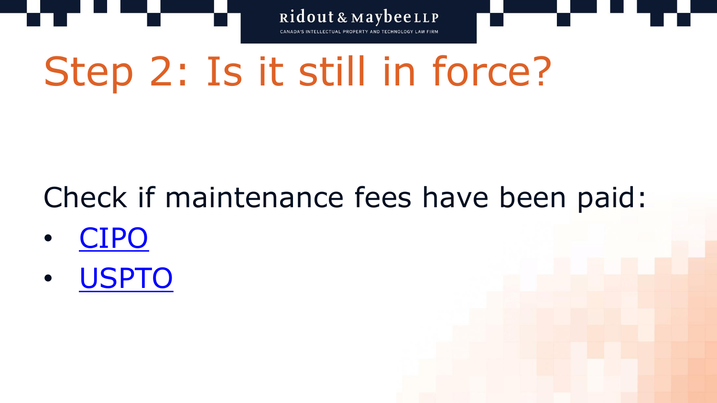Step 2: Is it still in force?

## Check if maintenance fees have been paid:

- [CIPO](http://www.ic.gc.ca/opic-cipo/cpd/eng/search/number.html)
- [USPTO](https://portal.uspto.gov/pair/PublicPair)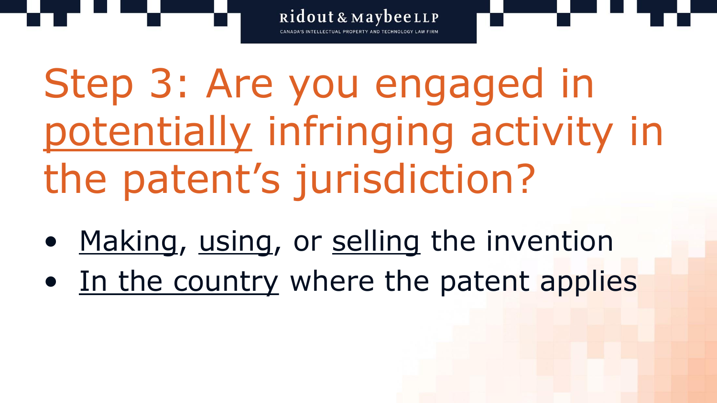Step 3: Are you engaged in potentially infringing activity in the patent's jurisdiction?

- Making, using, or selling the invention
- In the country where the patent applies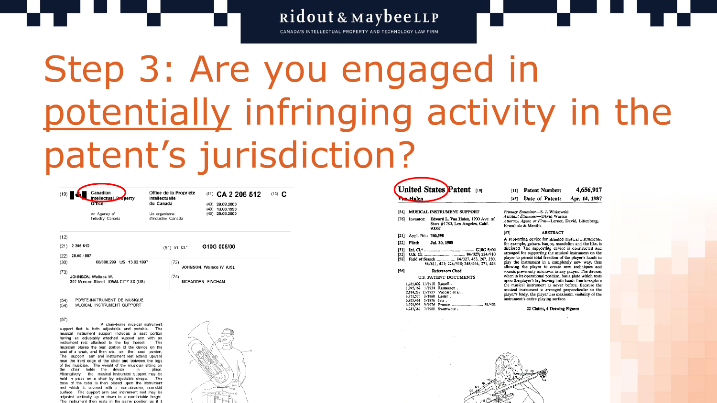CANADA'S INTELLECTUAL PROPERTY AND TECHNOLOGY LAW FIRM

## Step 3: Are you engaged in potentially infringing activity in the patent's jurisdiction?



Office de la Propriété (11) CA 2 206 512 (13) C Intellectuelle du Canada  $(40)$  29.08.2000  $(43)$  13,08,1998 Un organisme  $(45)$  29.08.2000

An Agency of Industry Canada d'Industrie Canada

 $(12)$ 

| (21) | 2 206 512                                                   | (51) Int. Cl. <sup>4</sup> : | G10G 005/00               |
|------|-------------------------------------------------------------|------------------------------|---------------------------|
| (22) | 29.05.1997                                                  |                              |                           |
| (30) | 08/800.299 US 13.02.1997                                    | (72)                         | JOHNSON, Wallace W. (US). |
| (73) |                                                             |                              |                           |
|      | JOHNSON, Wallace W.<br>307 Monroe Street IOWA CITY XX (US). | (74)                         | <b>MCFADDEN, FINCHAM</b>  |

PORTE-INSTRUMENT DE MUSIQUE  $(54)$ 

 $(54)$ MUSICAL INSTRUMENT SUPPORT

 $(57)$ 

A chair-borne musical instrument support that is both adjustable and portable. The musical instrument support includes a seat portion having an adjustably attached support arm with an instrument rest attached to the top thereof. The musician places the seat portion of the device on the seat of a chair, and then sits on the seat portion. The support arm and instrument rest extend upward near the front edge of the chair and between the legs of the musician. The weight of the musician sitting on the chair holds the device in place. Alternatively, the musical instrument support may be held in place on a chair by adjustable straps. The base of the tuba is then placed upon the instrument rest which is covered with a non-abrasive, non-skid surface. The support arm and instrument rest may be adjusted vertically up or down to a comfortable height. The instrument than rests in the same nosition as i



|      | <b>War Halen</b>        | United States Patent [19]                                                                        |
|------|-------------------------|--------------------------------------------------------------------------------------------------|
| [54] |                         | <b>MUSICAL INSTRUMENT SUPPORT</b>                                                                |
| 1761 |                         | Inventor: Edward L. Van Halen, 1900 Ave. of<br>Stars #1780, Los Angeles, Calif.<br>90067         |
| [21] | Appl. No.: 760,598      |                                                                                                  |
| [22] |                         | Filed: Jul. 30, 1985                                                                             |
| [58] |                         | Field of Search  84/327, 453, 267, 280.<br>84/411, 421, 224/910, 248/444, 371, 443               |
| [56] |                         | <b>References Cited</b>                                                                          |
|      |                         | <b>ILS. PATENT DOCUMENTS</b>                                                                     |
|      | 3.371.570 3/1968 Lester | 1,285,802 11/1918 Russell .<br>1,945,162 1/1934 Rasmussen.<br>2,814,229 11/1957 Vaccaro et al. . |

3,955,461 5/1976 Ivie. 3,979,993 9/1976 Proctor

4,213,369 7/1980 Swartwout.

4.656.917 [11] Patent Number: [45] Date of Patent: Apr. 14, 1987 Primary Examiner-S. J. Witkowski

Assistant Examiner-David Warren Attorney, Agent, or Firm-Lerner, David, Littenberg, Krumholz & Mentlik

#### **ABSTRACT**

A supporting device for stringed musical instruments, for example, guitars, banjos, mandolins and the like, is disclosed. The supporting device is constructed and arranged for supporting the musical instrument on the player to permit total freedom of the player's hands to play the instrument in a completely new way, thus allowing the player to create new techniques and sounds previously unknown to any player. The device, when in its operational position, has a plate which rests upon the player's leg leaving both hands free to explore the musical instrument as never before. Because the musical instrument is arranged perpendicular to the player's body, the player has maximum visibility of the instrument's entire playing surface.

22 Claims, 4 Drawing Figures



 $571$ 

84/453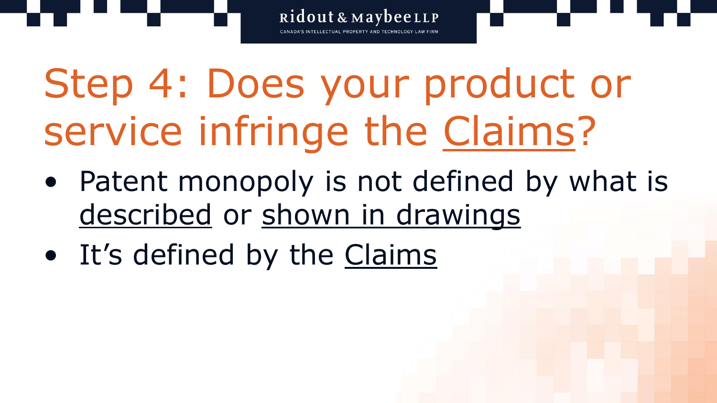Step 4: Does your product or service infringe the Claims?

• Patent monopoly is not defined by what is described or shown in drawings

Ridout & MaybeeLLP

• It's defined by the Claims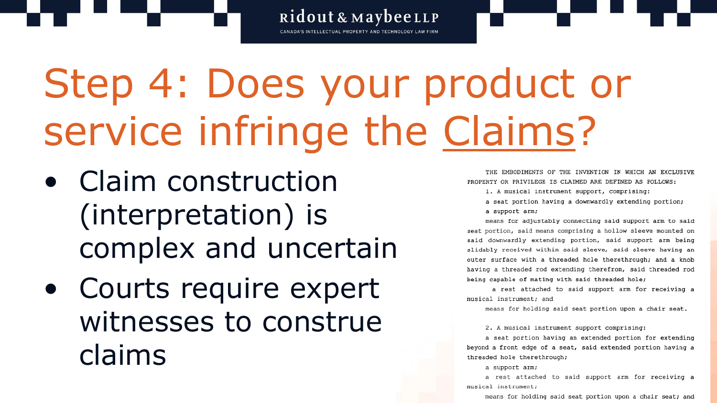Ridout & MaybeeLLP CANADA'S INTELLECTUAL PROPERTY AND TECHNOLOGY LAW FIRM

# Step 4: Does your product or service infringe the Claims?

- Claim construction (interpretation) is complex and uncertain
- Courts require expert witnesses to construe claims

THE EMBODIMENTS OF THE INVENTION IN WHICH AN EXCLUSIVE PROPERTY OR PRIVILEGE IS CLAIMED ARE DEFINED AS FOLLOWS:

- 1. A musical instrument support, comprising:
- a seat portion having a downwardly extending portion; a support arm;

means for adjustably connecting said support arm to said seat portion, said means comprising a hollow sleeve mounted on said downwardly extending portion, said support arm being slidably received within said sleeve, said sleeve having an outer surface with a threaded hole therethrough; and a knob having a threaded rod extending therefrom, said threaded rod being capable of mating with said threaded hole;

a rest attached to said support arm for receiving a musical instrument; and

means for holding said seat portion upon a chair seat.

2. A musical instrument support comprising:

a seat portion having an extended portion for extending beyond a front edge of a seat, said extended portion having a threaded hole therethrough;

a support arm;

a rest attached to said support arm for receiving a musical instrument;

means for holding said seat portion upon a chair seat; and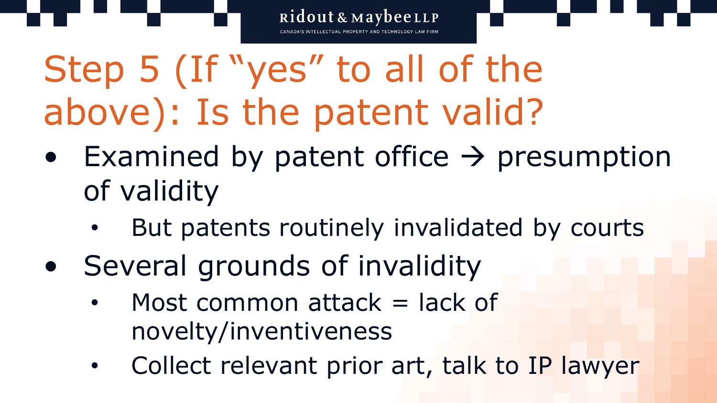

• Examined by patent office  $\rightarrow$  presumption of validity

- But patents routinely invalidated by courts
- Several grounds of invalidity
	- Most common attack  $=$  lack of novelty/inventiveness
	- Collect relevant prior art, talk to IP lawyer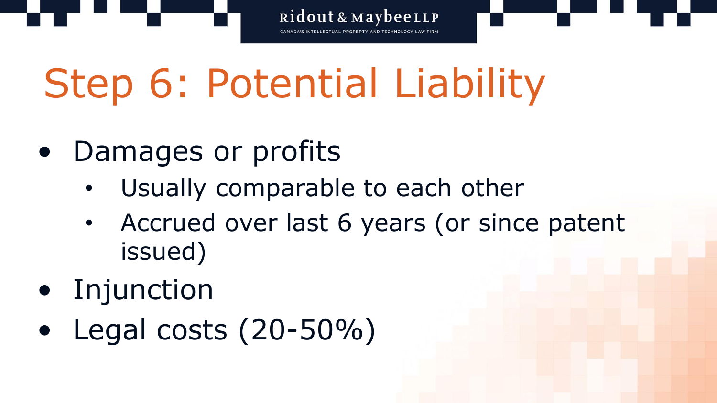Step 6: Potential Liability

- Damages or profits
	- Usually comparable to each other
	- Accrued over last 6 years (or since patent issued)

- Injunction
- Legal costs (20-50%)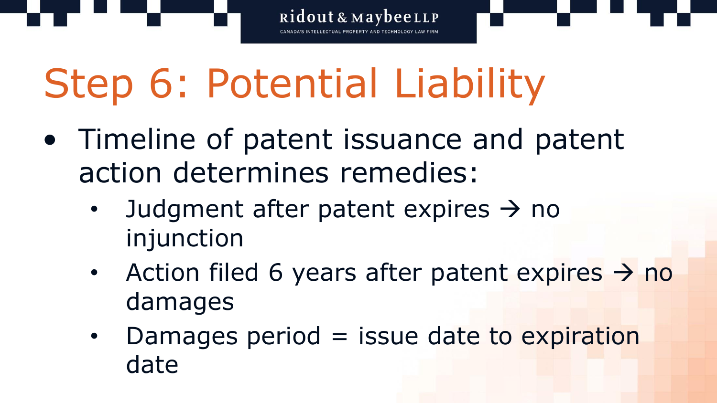

• Timeline of patent issuance and patent action determines remedies:

- Judgment after patent expires  $\rightarrow$  no injunction
- Action filed 6 years after patent expires  $\rightarrow$  no damages
- Damages period  $=$  issue date to expiration date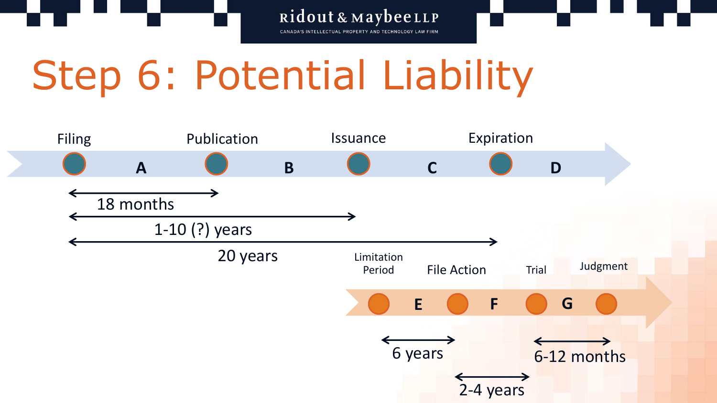Ridout & MaybeeLLP CANADA'S INTELLECTUAL PROPERTY AND TECHNOLOGY LAW FIRM



## Step 6: Potential Liability

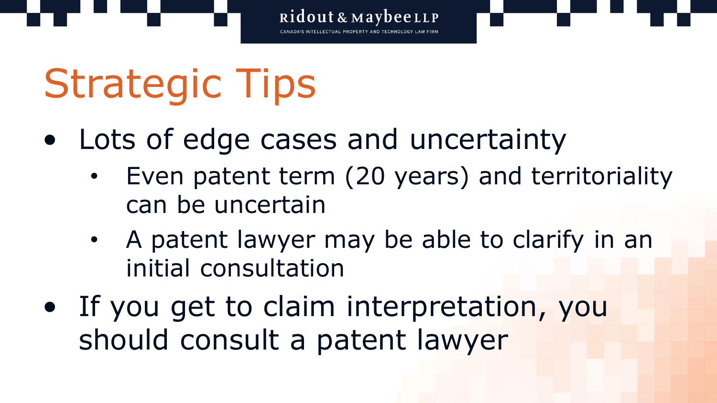

# Strategic Tips

- Lots of edge cases and uncertainty
	- Even patent term (20 years) and territoriality can be uncertain
	- A patent lawyer may be able to clarify in an initial consultation
- If you get to claim interpretation, you should consult a patent lawyer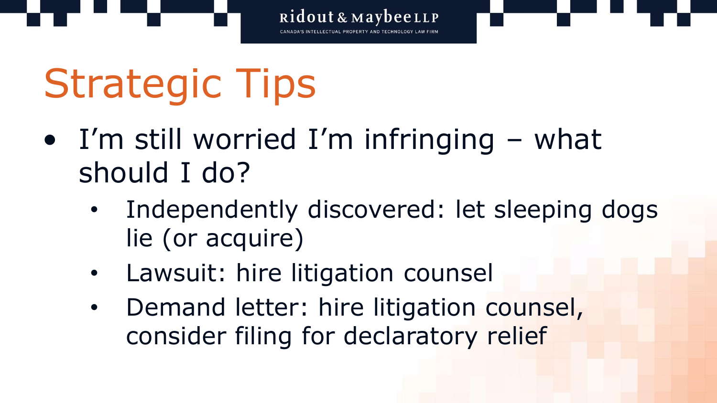

# Strategic Tips

- I'm still worried I'm infringing  $-$  what should I do?
	- Independently discovered: let sleeping dogs lie (or acquire)
	- Lawsuit: hire litigation counsel
	- Demand letter: hire litigation counsel, consider filing for declaratory relief